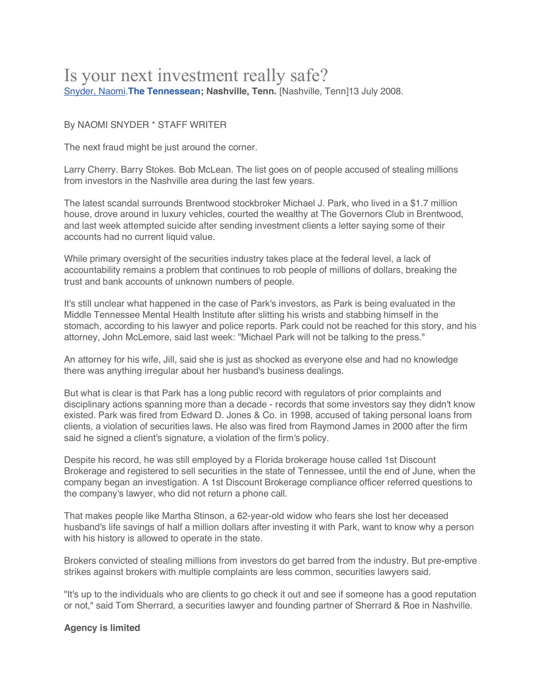# Is your next investment really safe? Snyder, Naomi.**The Tennessean; Nashville, Tenn.** [Nashville, Tenn]13 July 2008.

# By NAOMI SNYDER \* STAFF WRITER

The next fraud might be just around the corner.

Larry Cherry. Barry Stokes. Bob McLean. The list goes on of people accused of stealing millions from investors in the Nashville area during the last few years.

The latest scandal surrounds Brentwood stockbroker Michael J. Park, who lived in a \$1.7 million house, drove around in luxury vehicles, courted the wealthy at The Governors Club in Brentwood, and last week attempted suicide after sending investment clients a letter saying some of their accounts had no current liquid value.

While primary oversight of the securities industry takes place at the federal level, a lack of accountability remains a problem that continues to rob people of millions of dollars, breaking the trust and bank accounts of unknown numbers of people.

It's still unclear what happened in the case of Park's investors, as Park is being evaluated in the Middle Tennessee Mental Health Institute after slitting his wrists and stabbing himself in the stomach, according to his lawyer and police reports. Park could not be reached for this story, and his attorney, John McLemore, said last week: "Michael Park will not be talking to the press."

An attorney for his wife, Jill, said she is just as shocked as everyone else and had no knowledge there was anything irregular about her husband's business dealings.

But what is clear is that Park has a long public record with regulators of prior complaints and disciplinary actions spanning more than a decade - records that some investors say they didn't know existed. Park was fired from Edward D. Jones & Co. in 1998, accused of taking personal loans from clients, a violation of securities laws. He also was fired from Raymond James in 2000 after the firm said he signed a client's signature, a violation of the firm's policy.

Despite his record, he was still employed by a Florida brokerage house called 1st Discount Brokerage and registered to sell securities in the state of Tennessee, until the end of June, when the company began an investigation. A 1st Discount Brokerage compliance officer referred questions to the company's lawyer, who did not return a phone call.

That makes people like Martha Stinson, a 62-year-old widow who fears she lost her deceased husband's life savings of half a million dollars after investing it with Park, want to know why a person with his history is allowed to operate in the state.

Brokers convicted of stealing millions from investors do get barred from the industry. But pre-emptive strikes against brokers with multiple complaints are less common, securities lawyers said.

"It's up to the individuals who are clients to go check it out and see if someone has a good reputation or not," said Tom Sherrard, a securities lawyer and founding partner of Sherrard & Roe in Nashville.

# **Agency is limited**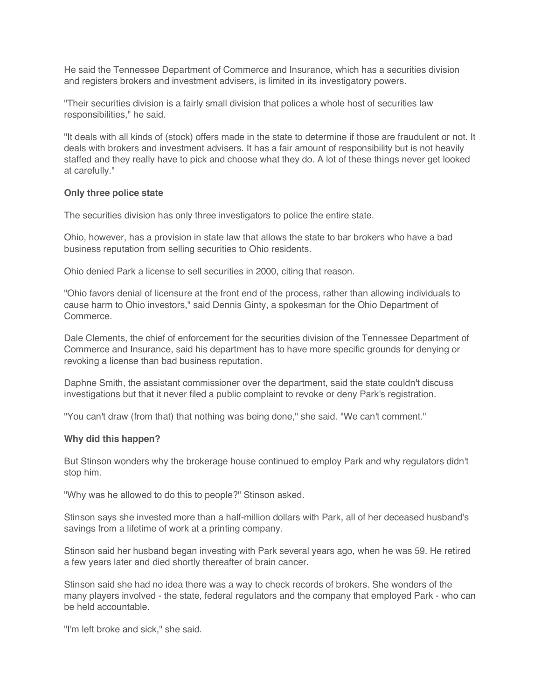He said the Tennessee Department of Commerce and Insurance, which has a securities division and registers brokers and investment advisers, is limited in its investigatory powers.

"Their securities division is a fairly small division that polices a whole host of securities law responsibilities," he said.

"It deals with all kinds of (stock) offers made in the state to determine if those are fraudulent or not. It deals with brokers and investment advisers. It has a fair amount of responsibility but is not heavily staffed and they really have to pick and choose what they do. A lot of these things never get looked at carefully."

# **Only three police state**

The securities division has only three investigators to police the entire state.

Ohio, however, has a provision in state law that allows the state to bar brokers who have a bad business reputation from selling securities to Ohio residents.

Ohio denied Park a license to sell securities in 2000, citing that reason.

"Ohio favors denial of licensure at the front end of the process, rather than allowing individuals to cause harm to Ohio investors," said Dennis Ginty, a spokesman for the Ohio Department of Commerce.

Dale Clements, the chief of enforcement for the securities division of the Tennessee Department of Commerce and Insurance, said his department has to have more specific grounds for denying or revoking a license than bad business reputation.

Daphne Smith, the assistant commissioner over the department, said the state couldn't discuss investigations but that it never filed a public complaint to revoke or deny Park's registration.

"You can't draw (from that) that nothing was being done," she said. "We can't comment."

#### **Why did this happen?**

But Stinson wonders why the brokerage house continued to employ Park and why regulators didn't stop him.

"Why was he allowed to do this to people?" Stinson asked.

Stinson says she invested more than a half-million dollars with Park, all of her deceased husband's savings from a lifetime of work at a printing company.

Stinson said her husband began investing with Park several years ago, when he was 59. He retired a few years later and died shortly thereafter of brain cancer.

Stinson said she had no idea there was a way to check records of brokers. She wonders of the many players involved - the state, federal regulators and the company that employed Park - who can be held accountable.

"I'm left broke and sick," she said.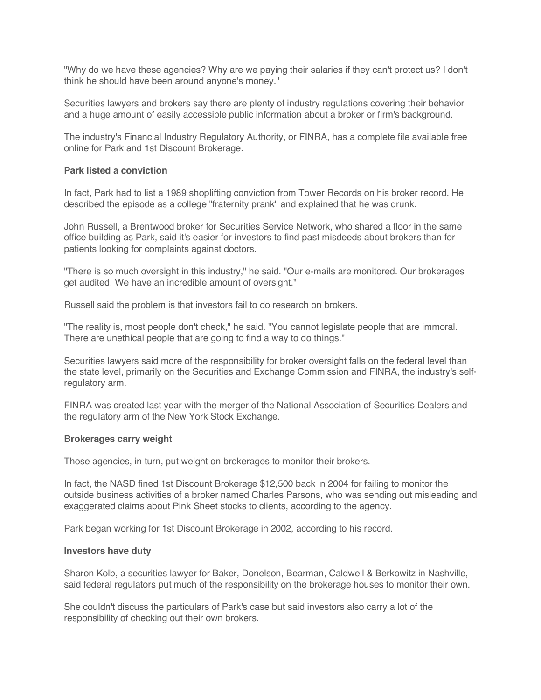"Why do we have these agencies? Why are we paying their salaries if they can't protect us? I don't think he should have been around anyone's money."

Securities lawyers and brokers say there are plenty of industry regulations covering their behavior and a huge amount of easily accessible public information about a broker or firm's background.

The industry's Financial Industry Regulatory Authority, or FINRA, has a complete file available free online for Park and 1st Discount Brokerage.

#### **Park listed a conviction**

In fact, Park had to list a 1989 shoplifting conviction from Tower Records on his broker record. He described the episode as a college "fraternity prank" and explained that he was drunk.

John Russell, a Brentwood broker for Securities Service Network, who shared a floor in the same office building as Park, said it's easier for investors to find past misdeeds about brokers than for patients looking for complaints against doctors.

"There is so much oversight in this industry," he said. "Our e-mails are monitored. Our brokerages get audited. We have an incredible amount of oversight."

Russell said the problem is that investors fail to do research on brokers.

"The reality is, most people don't check," he said. "You cannot legislate people that are immoral. There are unethical people that are going to find a way to do things."

Securities lawyers said more of the responsibility for broker oversight falls on the federal level than the state level, primarily on the Securities and Exchange Commission and FINRA, the industry's selfregulatory arm.

FINRA was created last year with the merger of the National Association of Securities Dealers and the regulatory arm of the New York Stock Exchange.

#### **Brokerages carry weight**

Those agencies, in turn, put weight on brokerages to monitor their brokers.

In fact, the NASD fined 1st Discount Brokerage \$12,500 back in 2004 for failing to monitor the outside business activities of a broker named Charles Parsons, who was sending out misleading and exaggerated claims about Pink Sheet stocks to clients, according to the agency.

Park began working for 1st Discount Brokerage in 2002, according to his record.

#### **Investors have duty**

Sharon Kolb, a securities lawyer for Baker, Donelson, Bearman, Caldwell & Berkowitz in Nashville, said federal regulators put much of the responsibility on the brokerage houses to monitor their own.

She couldn't discuss the particulars of Park's case but said investors also carry a lot of the responsibility of checking out their own brokers.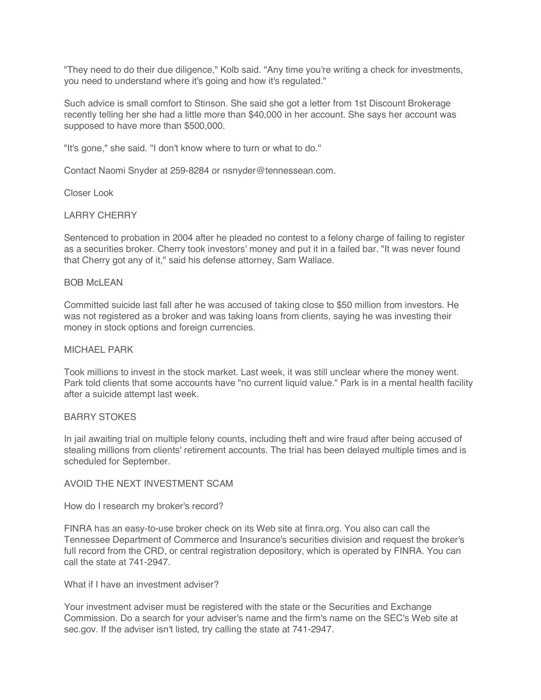"They need to do their due diligence," Kolb said. "Any time you're writing a check for investments, you need to understand where it's going and how it's regulated."

Such advice is small comfort to Stinson. She said she got a letter from 1st Discount Brokerage recently telling her she had a little more than \$40,000 in her account. She says her account was supposed to have more than \$500,000.

"It's gone," she said. "I don't know where to turn or what to do."

Contact Naomi Snyder at 259-8284 or nsnyder@tennessean.com.

Closer Look

# LARRY CHERRY

Sentenced to probation in 2004 after he pleaded no contest to a felony charge of failing to register as a securities broker. Cherry took investors' money and put it in a failed bar. "It was never found that Cherry got any of it," said his defense attorney, Sam Wallace.

# BOB McLEAN

Committed suicide last fall after he was accused of taking close to \$50 million from investors. He was not registered as a broker and was taking loans from clients, saying he was investing their money in stock options and foreign currencies.

# MICHAEL PARK

Took millions to invest in the stock market. Last week, it was still unclear where the money went. Park told clients that some accounts have "no current liquid value." Park is in a mental health facility after a suicide attempt last week.

#### BARRY STOKES

In jail awaiting trial on multiple felony counts, including theft and wire fraud after being accused of stealing millions from clients' retirement accounts. The trial has been delayed multiple times and is scheduled for September.

# AVOID THE NEXT INVESTMENT SCAM

How do I research my broker's record?

FINRA has an easy-to-use broker check on its Web site at finra.org. You also can call the Tennessee Department of Commerce and Insurance's securities division and request the broker's full record from the CRD, or central registration depository, which is operated by FINRA. You can call the state at 741-2947.

# What if I have an investment adviser?

Your investment adviser must be registered with the state or the Securities and Exchange Commission. Do a search for your adviser's name and the firm's name on the SEC's Web site at sec.gov. If the adviser isn't listed, try calling the state at 741-2947.